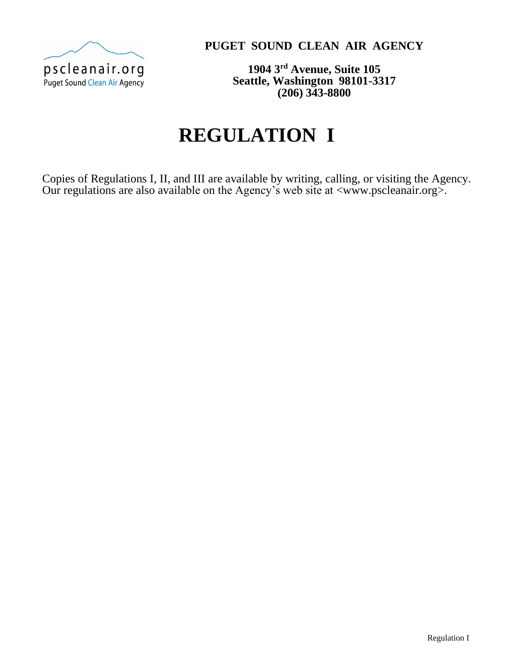

**PUGET SOUND CLEAN AIR AGENCY**

**1904 3rd Avenue, Suite 105 Seattle, Washington 98101-3317 (206) 343-8800**

# **REGULATION I**

Copies of Regulations I, II, and III are available by writing, calling, or visiting the Agency. Our regulations are also available on the Agency's web site at [<www.pscleanair.org>](http://www.pscleanair.org/).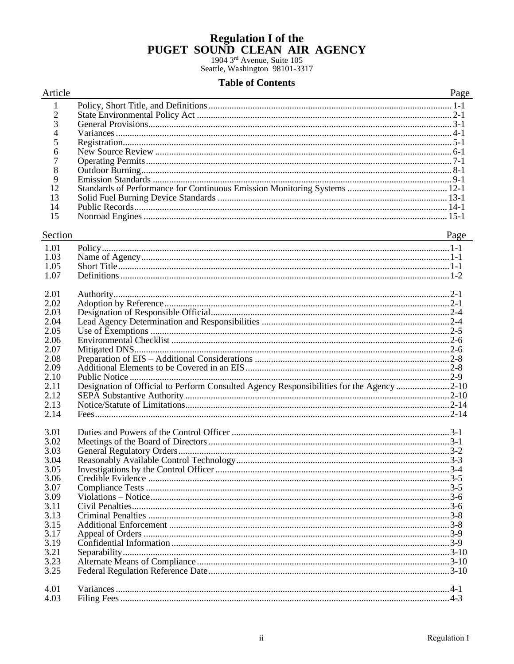## **Regulation I of the** PUGET SOUND CLEAN AIR AGENCY

1904 3rd Avenue, Suite 105 Seattle, Washington 98101-3317

### **Table of Contents**

#### Article

#### Page  $\mathbf{1}$  $\overline{c}$  $\overline{3}$  $\overline{4}$ 5 6  $\overline{7}$ 8 9 12 13  $14$ 15

#### Section

Page

| 1.01 |                                                                                          |  |
|------|------------------------------------------------------------------------------------------|--|
| 1.03 |                                                                                          |  |
| 1.05 |                                                                                          |  |
| 1.07 |                                                                                          |  |
|      |                                                                                          |  |
| 2.01 |                                                                                          |  |
| 2.02 |                                                                                          |  |
| 2.03 |                                                                                          |  |
| 2.04 |                                                                                          |  |
| 2.05 |                                                                                          |  |
| 2.06 |                                                                                          |  |
| 2.07 |                                                                                          |  |
| 2.08 |                                                                                          |  |
| 2.09 |                                                                                          |  |
| 2.10 |                                                                                          |  |
| 2.11 | Designation of Official to Perform Consulted Agency Responsibilities for the Agency 2-10 |  |
| 2.12 |                                                                                          |  |
| 2.13 |                                                                                          |  |
| 2.14 |                                                                                          |  |
|      |                                                                                          |  |
| 3.01 |                                                                                          |  |
| 3.02 |                                                                                          |  |
| 3.03 |                                                                                          |  |
| 3.04 |                                                                                          |  |
| 3.05 |                                                                                          |  |
| 3.06 |                                                                                          |  |
| 3.07 |                                                                                          |  |
| 3.09 |                                                                                          |  |
| 3.11 |                                                                                          |  |
| 3.13 |                                                                                          |  |
| 3.15 |                                                                                          |  |
| 3.17 |                                                                                          |  |
| 3.19 |                                                                                          |  |
| 3.21 |                                                                                          |  |
| 3.23 |                                                                                          |  |
| 3.25 |                                                                                          |  |
|      |                                                                                          |  |
| 4.01 |                                                                                          |  |
| 4.03 |                                                                                          |  |
|      |                                                                                          |  |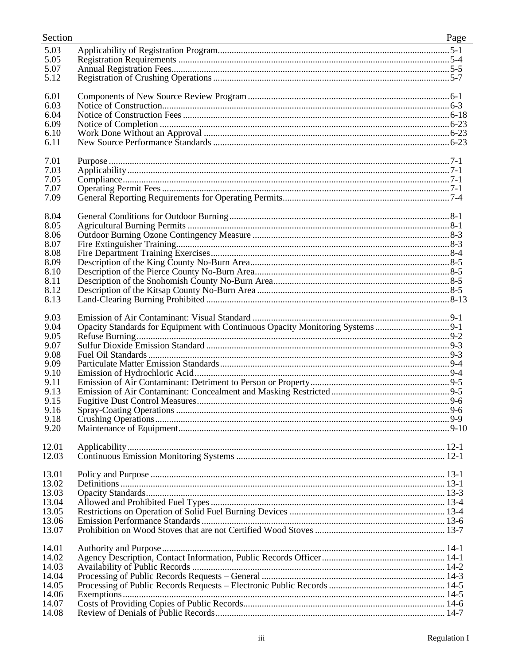| Section        |                                                                                | Page |
|----------------|--------------------------------------------------------------------------------|------|
| 5.03           |                                                                                |      |
| 5.05           |                                                                                |      |
| 5.07           |                                                                                |      |
| 5.12           |                                                                                |      |
|                |                                                                                |      |
| 6.01           |                                                                                |      |
| 6.03           |                                                                                |      |
| 6.04           |                                                                                |      |
| 6.09           |                                                                                |      |
| 6.10           |                                                                                |      |
| 6.11           |                                                                                |      |
|                |                                                                                |      |
| 7.01           |                                                                                |      |
| 7.03           |                                                                                |      |
| 7.05           |                                                                                |      |
| 7.07           |                                                                                |      |
| 7.09           |                                                                                |      |
| 8.04           |                                                                                |      |
| 8.05           |                                                                                |      |
|                |                                                                                |      |
| 8.06           |                                                                                |      |
| 8.07           |                                                                                |      |
| 8.08<br>8.09   |                                                                                |      |
|                |                                                                                |      |
| 8.10           |                                                                                |      |
| 8.11<br>8.12   |                                                                                |      |
| 8.13           |                                                                                |      |
|                |                                                                                |      |
| 9.03           |                                                                                |      |
| 9.04           | Opacity Standards for Equipment with Continuous Opacity Monitoring Systems 9-1 |      |
| 9.05           |                                                                                |      |
| 9.07           |                                                                                |      |
| 9.08           |                                                                                |      |
| 9.09           |                                                                                |      |
| 9.10           |                                                                                |      |
| 9.11           |                                                                                |      |
| 9.13           |                                                                                |      |
| 9.15           |                                                                                |      |
| 9.16           |                                                                                |      |
| 9.18           |                                                                                |      |
| 9.20           |                                                                                |      |
|                |                                                                                |      |
| 12.01          |                                                                                |      |
| 12.03          |                                                                                |      |
|                |                                                                                |      |
| 13.01          |                                                                                |      |
| 13.02          |                                                                                |      |
| 13.03          |                                                                                |      |
| 13.04          |                                                                                |      |
| 13.05          |                                                                                |      |
| 13.06          |                                                                                |      |
| 13.07          |                                                                                |      |
| 14.01          |                                                                                |      |
| 14.02          |                                                                                |      |
| 14.03          |                                                                                |      |
|                |                                                                                |      |
| 14.04<br>14.05 |                                                                                |      |
| 14.06          |                                                                                |      |
| 14.07          |                                                                                |      |
| 14.08          |                                                                                |      |
|                |                                                                                |      |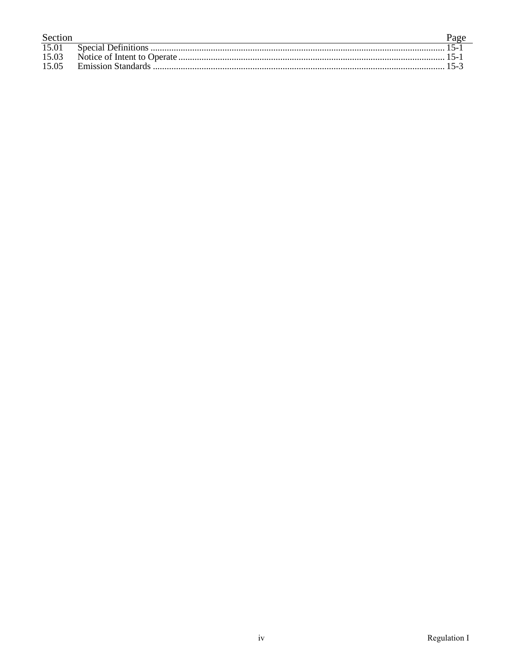| Section | Page |
|---------|------|
| 15.01   |      |
| 15.03   |      |
| 15.05   |      |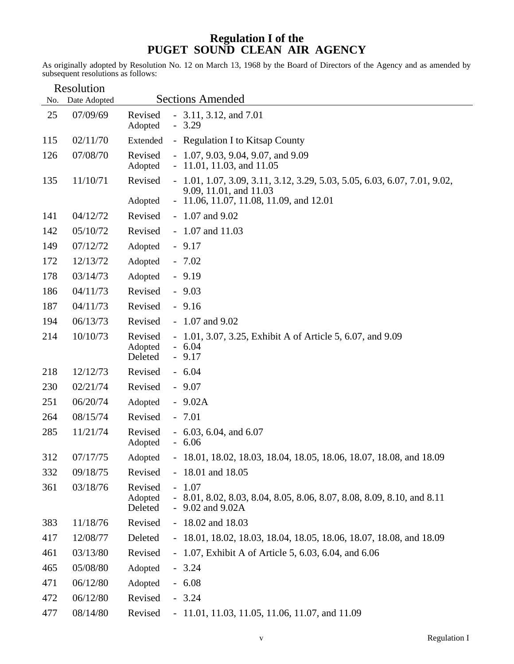# **Regulation I of the PUGET SOUND CLEAN AIR AGENCY**

As originally adopted by Resolution No. 12 on March 13, 1968 by the Board of Directors of the Agency and as amended by subsequent resolutions as follows:

| No. | Resolution<br>Date Adopted |                               | <b>Sections Amended</b>                                                                                  |
|-----|----------------------------|-------------------------------|----------------------------------------------------------------------------------------------------------|
|     |                            |                               |                                                                                                          |
| 25  | 07/09/69                   | Revised<br>Adopted            | $-3.11, 3.12,$ and $7.01$<br>$-3.29$                                                                     |
| 115 | 02/11/70                   | Extended                      | - Regulation I to Kitsap County                                                                          |
| 126 | 07/08/70                   | Revised<br>Adopted            | $-1.07, 9.03, 9.04, 9.07, and 9.09$<br>$-11.01, 11.03,$ and $11.05$                                      |
| 135 | 11/10/71                   | Revised                       | $-1.01, 1.07, 3.09, 3.11, 3.12, 3.29, 5.03, 5.05, 6.03, 6.07, 7.01, 9.02,$<br>9.09, 11.01, and 11.03     |
|     |                            | Adopted                       | $-11.06, 11.07, 11.08, 11.09,$ and 12.01                                                                 |
| 141 | 04/12/72                   | Revised                       | $-1.07$ and $9.02$                                                                                       |
| 142 | 05/10/72                   | Revised                       | $-1.07$ and $11.03$                                                                                      |
| 149 | 07/12/72                   | Adopted                       | $-9.17$                                                                                                  |
| 172 | 12/13/72                   | Adopted                       | $-7.02$                                                                                                  |
| 178 | 03/14/73                   | Adopted                       | $-9.19$                                                                                                  |
| 186 | 04/11/73                   | Revised                       | $-9.03$                                                                                                  |
| 187 | 04/11/73                   | Revised                       | $-9.16$                                                                                                  |
| 194 | 06/13/73                   | Revised                       | $-1.07$ and $9.02$                                                                                       |
| 214 | 10/10/73                   | Revised<br>Adopted<br>Deleted | - 1.01, 3.07, 3.25, Exhibit A of Article 5, 6.07, and 9.09<br>$-6.04$<br>$-9.17$                         |
| 218 | 12/12/73                   | Revised                       | $-6.04$                                                                                                  |
| 230 | 02/21/74                   | Revised                       | $-9.07$                                                                                                  |
| 251 | 06/20/74                   | Adopted                       | $-9.02A$                                                                                                 |
| 264 | 08/15/74                   | Revised                       | $-7.01$                                                                                                  |
| 285 | 11/21/74                   | Revised<br>Adopted            | $-6.03, 6.04, and 6.07$<br>$-6.06$                                                                       |
| 312 | 07/17/75                   | Adopted                       | - 18.01, 18.02, 18.03, 18.04, 18.05, 18.06, 18.07, 18.08, and 18.09                                      |
| 332 | 09/18/75                   | Revised                       | $-18.01$ and $18.05$                                                                                     |
| 361 | 03/18/76                   | Revised<br>Adopted<br>Deleted | $-1.07$<br>- 8.01, 8.02, 8.03, 8.04, 8.05, 8.06, 8.07, 8.08, 8.09, 8.10, and 8.11<br>$-9.02$ and $9.02A$ |
| 383 | 11/18/76                   | Revised                       | $-18.02$ and $18.03$                                                                                     |
| 417 | 12/08/77                   | Deleted                       | - 18.01, 18.02, 18.03, 18.04, 18.05, 18.06, 18.07, 18.08, and 18.09                                      |
| 461 | 03/13/80                   | Revised                       | - 1.07, Exhibit A of Article 5, 6.03, 6.04, and 6.06                                                     |
| 465 | 05/08/80                   | Adopted                       | $-3.24$                                                                                                  |
| 471 | 06/12/80                   | Adopted                       | $-6.08$                                                                                                  |
| 472 | 06/12/80                   | Revised                       | $-3.24$                                                                                                  |
| 477 | 08/14/80                   | Revised                       | $-11.01, 11.03, 11.05, 11.06, 11.07, and 11.09$                                                          |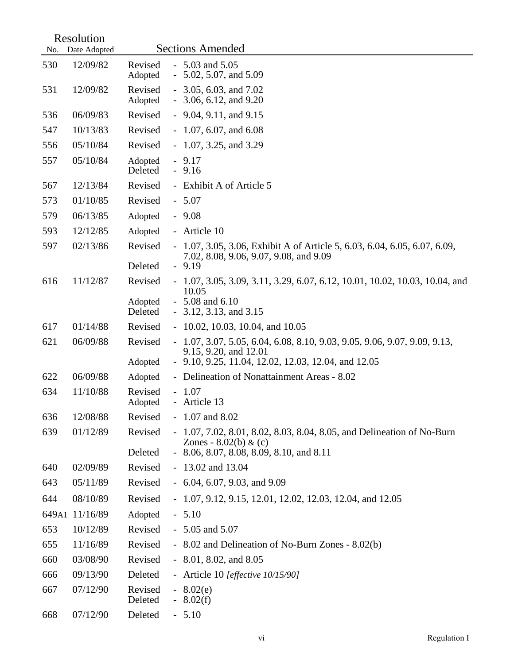|       | Resolution   |                    |                                                                                                                                                            |
|-------|--------------|--------------------|------------------------------------------------------------------------------------------------------------------------------------------------------------|
| No.   | Date Adopted |                    | <b>Sections Amended</b>                                                                                                                                    |
| 530   | 12/09/82     | Revised<br>Adopted | $-5.03$ and $5.05$<br>$-5.02, 5.07, \text{ and } 5.09$                                                                                                     |
| 531   | 12/09/82     | Revised<br>Adopted | $-3.05, 6.03,$ and $7.02$<br>$-3.06, 6.12, and 9.20$                                                                                                       |
| 536   | 06/09/83     | Revised            | $-9.04, 9.11,$ and $9.15$                                                                                                                                  |
| 547   | 10/13/83     | Revised            | $-1.07, 6.07,$ and 6.08                                                                                                                                    |
| 556   | 05/10/84     | Revised            | $-1.07, 3.25, \text{ and } 3.29$                                                                                                                           |
| 557   | 05/10/84     | Adopted<br>Deleted | $-9.17$<br>$-9.16$                                                                                                                                         |
| 567   | 12/13/84     | Revised            | - Exhibit A of Article 5                                                                                                                                   |
| 573   | 01/10/85     | Revised            | $-5.07$                                                                                                                                                    |
| 579   | 06/13/85     | Adopted            | $-9.08$                                                                                                                                                    |
| 593   | 12/12/85     | Adopted            | - Article 10                                                                                                                                               |
| 597   | 02/13/86     | Revised            | $-1.07, 3.05, 3.06,$ Exhibit A of Article 5, 6.03, 6.04, 6.05, 6.07, 6.09,<br>7.02, 8.08, 9.06, 9.07, 9.08, and 9.09                                       |
|       |              | Deleted            | $-9.19$                                                                                                                                                    |
| 616   | 11/12/87     | Revised<br>Adopted | $-1.07, 3.05, 3.09, 3.11, 3.29, 6.07, 6.12, 10.01, 10.02, 10.03, 10.04, and$<br>10.05<br>$-5.08$ and $6.10$                                                |
|       |              | Deleted            | $-3.12, 3.13,$ and $3.15$                                                                                                                                  |
| 617   | 01/14/88     | Revised            | $-10.02, 10.03, 10.04,$ and $10.05$                                                                                                                        |
| 621   | 06/09/88     | Revised<br>Adopted | $-1.07, 3.07, 5.05, 6.04, 6.08, 8.10, 9.03, 9.05, 9.06, 9.07, 9.09, 9.13,$<br>9.15, 9.20, and 12.01<br>- 9.10, 9.25, 11.04, 12.02, 12.03, 12.04, and 12.05 |
| 622   | 06/09/88     | Adopted            | - Delineation of Nonattainment Areas - 8.02                                                                                                                |
| 634   | 11/10/88     | Revised<br>Adopted | $-1.07$<br>- Article 13                                                                                                                                    |
| 636   | 12/08/88     | Revised            | $-1.07$ and 8.02                                                                                                                                           |
| 639   | 01/12/89     | Revised            | $-1.07, 7.02, 8.01, 8.02, 8.03, 8.04, 8.05,$ and Delineation of No-Burn<br>Zones - $8.02(b)$ & (c)                                                         |
|       |              | Deleted            | $-8.06, 8.07, 8.08, 8.09, 8.10,$ and 8.11                                                                                                                  |
| 640   | 02/09/89     | Revised            | $-13.02$ and 13.04                                                                                                                                         |
| 643   | 05/11/89     | Revised            | $-6.04, 6.07, 9.03, \text{ and } 9.09$                                                                                                                     |
| 644   | 08/10/89     | Revised            | $-1.07, 9.12, 9.15, 12.01, 12.02, 12.03, 12.04,$ and $12.05$                                                                                               |
| 649A1 | 11/16/89     | Adopted            | $-5.10$                                                                                                                                                    |
| 653   | 10/12/89     | Revised            | $-5.05$ and $5.07$                                                                                                                                         |
| 655   | 11/16/89     | Revised            | - 8.02 and Delineation of No-Burn Zones - 8.02(b)                                                                                                          |
| 660   | 03/08/90     | Revised            | $-8.01, 8.02,$ and $8.05$                                                                                                                                  |
| 666   | 09/13/90     | Deleted            | - Article 10 [ <i>effective 10/15/90</i> ]                                                                                                                 |
| 667   | 07/12/90     | Revised<br>Deleted | $-8.02(e)$<br>$-8.02(f)$                                                                                                                                   |
| 668   | 07/12/90     | Deleted            | $-5.10$                                                                                                                                                    |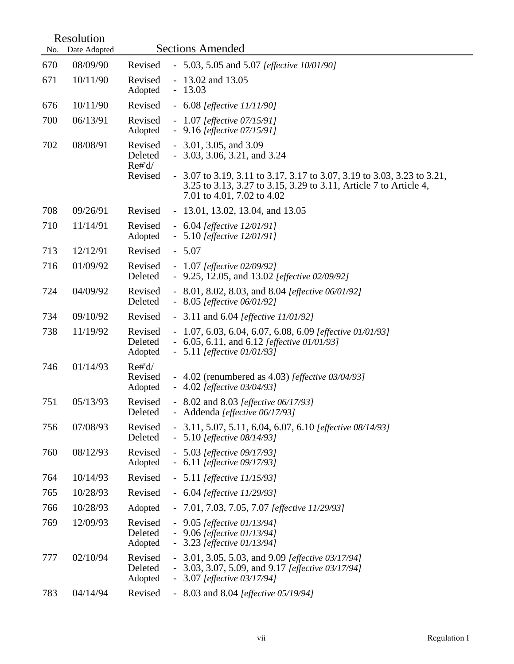| No. | Resolution<br>Date Adopted |                                           | <b>Sections Amended</b>                                                                                                                                                                                                                   |
|-----|----------------------------|-------------------------------------------|-------------------------------------------------------------------------------------------------------------------------------------------------------------------------------------------------------------------------------------------|
| 670 | 08/09/90                   | Revised                                   | - 5.03, 5.05 and 5.07 [ <i>effective 10/01/90</i> ]                                                                                                                                                                                       |
| 671 | 10/11/90                   | Revised<br>Adopted                        | $-13.02$ and 13.05<br>$-13.03$                                                                                                                                                                                                            |
| 676 | 10/11/90                   | Revised                                   | $-6.08$ [effective 11/11/90]                                                                                                                                                                                                              |
| 700 | 06/13/91                   | Revised<br>Adopted                        | $-1.07$ [effective 07/15/91]<br>- $9.16$ [effective 07/15/91]                                                                                                                                                                             |
| 702 | 08/08/91                   | Revised<br>Deleted<br>$Re\#d/$<br>Revised | $-3.01, 3.05,$ and $3.09$<br>$-3.03, 3.06, 3.21, and 3.24$<br>$-3.07$ to 3.19, 3.11 to 3.17, 3.17 to 3.07, 3.19 to 3.03, 3.23 to 3.21,<br>3.25 to 3.13, 3.27 to 3.15, 3.29 to 3.11, Article 7 to Article 4,<br>7.01 to 4.01, 7.02 to 4.02 |
| 708 | 09/26/91                   | Revised                                   | $-13.01, 13.02, 13.04,$ and 13.05                                                                                                                                                                                                         |
| 710 | 11/14/91                   | Revised<br>Adopted                        | $-6.04$ [effective 12/01/91]<br>$-5.10$ [effective 12/01/91]                                                                                                                                                                              |
| 713 | 12/12/91                   | Revised                                   | $-5.07$                                                                                                                                                                                                                                   |
| 716 | 01/09/92                   | Revised<br>Deleted                        | $-1.07$ [effective 02/09/92]<br>- 9.25, 12.05, and 13.02 [effective 02/09/92]                                                                                                                                                             |
| 724 | 04/09/92                   | Revised<br>Deleted                        | - 8.01, 8.02, 8.03, and 8.04 [ <i>effective</i> 06/01/92]<br>$-8.05$ [effective 06/01/92]                                                                                                                                                 |
| 734 | 09/10/92                   | Revised                                   | - 3.11 and $6.04$ [effective $11/01/92$ ]                                                                                                                                                                                                 |
| 738 | 11/19/92                   | Revised<br>Deleted<br>Adopted             | $-1.07, 6.03, 6.04, 6.07, 6.08, 6.09$ [effective 01/01/93]<br>- 6.05, 6.11, and 6.12 [effective $01/01/93$ ]<br>$-5.11$ [effective 01/01/93]                                                                                              |
| 746 | 01/14/93                   | $Re\#d/$<br>Revised<br>Adopted            | - 4.02 (renumbered as $4.03$ ) [effective $03/04/93$ ]<br>$-4.02$ [effective 03/04/93]                                                                                                                                                    |
| 751 | 05/13/93                   | Revised<br>Deleted                        | - 8.02 and 8.03 [effective 06/17/93]<br>- Addenda [effective 06/17/93]                                                                                                                                                                    |
| 756 | 07/08/93                   | Revised<br>Deleted                        | - 3.11, 5.07, 5.11, 6.04, 6.07, 6.10 [effective 08/14/93]<br>$-5.10$ [effective 08/14/93]                                                                                                                                                 |
| 760 | 08/12/93                   | Revised<br>Adopted                        | $-5.03$ [effective 09/17/93]<br>- $6.11$ [effective 09/17/93]                                                                                                                                                                             |
| 764 | 10/14/93                   | Revised                                   | $-5.11$ [effective 11/15/93]                                                                                                                                                                                                              |
| 765 | 10/28/93                   | Revised                                   | $-6.04$ [effective 11/29/93]                                                                                                                                                                                                              |
| 766 | 10/28/93                   | Adopted                                   | $-7.01, 7.03, 7.05, 7.07$ [effective 11/29/93]                                                                                                                                                                                            |
| 769 | 12/09/93                   | Revised<br>Deleted<br>Adopted             | $-9.05$ [effective 01/13/94]<br>$-9.06$ [effective 01/13/94]<br>$-3.23$ [effective 01/13/94]                                                                                                                                              |
| 777 | 02/10/94                   | Revised<br>Deleted<br>Adopted             | - 3.01, 3.05, 5.03, and 9.09 [ <i>effective 03/17/94</i> ]<br>- 3.03, 3.07, 5.09, and 9.17 [ <i>effective 03/17/94</i> ]<br>$-3.07$ [effective 03/17/94]                                                                                  |
| 783 | 04/14/94                   | Revised                                   | - $8.03$ and $8.04$ [effective 05/19/94]                                                                                                                                                                                                  |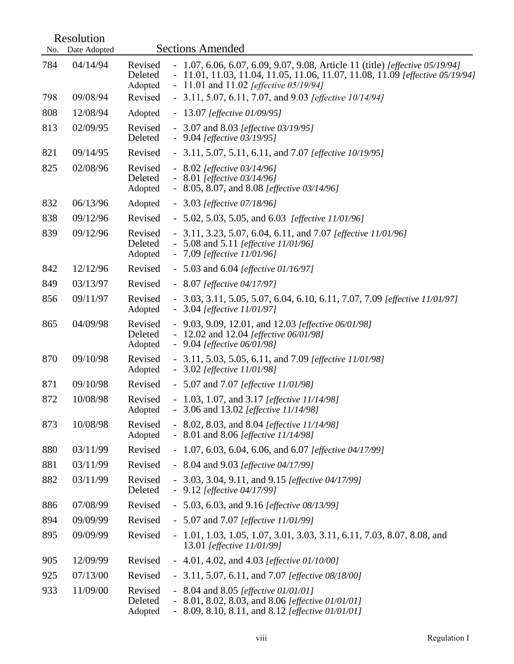|     | Resolution   |                                                                                                                                                                                                                                              |
|-----|--------------|----------------------------------------------------------------------------------------------------------------------------------------------------------------------------------------------------------------------------------------------|
| No. | Date Adopted | <b>Sections Amended</b>                                                                                                                                                                                                                      |
| 784 | 04/14/94     | - 1.07, 6.06, 6.07, 6.09, 9.07, 9.08, Article 11 (title) [effective 05/19/94]<br>Revised<br>Deleted<br>- 11.01, 11.03, 11.04, 11.05, 11.06, 11.07, 11.08, 11.09 [effective 05/19/94]<br>- 11.01 and 11.02 [effective $05/19/94$ ]<br>Adopted |
| 798 | 09/08/94     | Revised<br>- 3.11, 5.07, 6.11, 7.07, and 9.03 [effective 10/14/94]                                                                                                                                                                           |
| 808 | 12/08/94     | Adopted<br>$-13.07$ [effective 01/09/95]                                                                                                                                                                                                     |
| 813 | 02/09/95     | Revised<br>- 3.07 and 8.03 [ <i>effective 03/19/95</i> ]<br>Deleted<br>- $9.04$ [effective 03/19/95]                                                                                                                                         |
| 821 | 09/14/95     | Revised<br>- 3.11, 5.07, 5.11, 6.11, and 7.07 [ <i>effective 10/19/95</i> ]                                                                                                                                                                  |
| 825 | 02/08/96     | Revised<br>$-8.02$ [effective 03/14/96]<br>Deleted<br>$-8.01$ [effective 03/14/96]<br>- 8.05, 8.07, and 8.08 [ <i>effective</i> 03/14/96]<br>Adopted                                                                                         |
| 832 | 06/13/96     | Adopted<br>$-3.03$ [effective 07/18/96]                                                                                                                                                                                                      |
| 838 | 09/12/96     | Revised<br>- 5.02, 5.03, 5.05, and 6.03 [effective $11/01/96$ ]                                                                                                                                                                              |
| 839 | 09/12/96     | Revised<br>- 3.11, 3.23, 5.07, 6.04, 6.11, and 7.07 [effective 11/01/96]<br>Deleted<br>- 5.08 and 5.11 [ <i>effective 11/01/96</i> ]<br>Adopted<br>$-7.09$ [effective 11/01/96]                                                              |
| 842 | 12/12/96     | Revised<br>- 5.03 and 6.04 [ <i>effective 01/16/97</i> ]                                                                                                                                                                                     |
| 849 | 03/13/97     | Revised<br>$-8.07$ [effective 04/17/97]                                                                                                                                                                                                      |
| 856 | 09/11/97     | Revised<br>- 3.03, 3.11, 5.05, 5.07, 6.04, 6.10, 6.11, 7.07, 7.09 [effective 11/01/97]<br>$-3.04$ [effective 11/01/97]<br>Adopted                                                                                                            |
| 865 | 04/09/98     | Revised<br>- 9.03, 9.09, 12.01, and 12.03 [effective 06/01/98]<br>Deleted<br>- 12.02 and 12.04 [ <i>effective</i> 06/01/98]<br>$-9.04$ [effective 06/01/98]<br>Adopted                                                                       |
| 870 | 09/10/98     | Revised<br>- 3.11, 5.03, 5.05, 6.11, and 7.09 [effective 11/01/98]<br>$-3.02$ [effective 11/01/98]<br>Adopted                                                                                                                                |
| 871 | 09/10/98     | Revised<br>- 5.07 and 7.07 [ <i>effective 11/01/98</i> ]                                                                                                                                                                                     |
| 872 | 10/08/98     | Revised<br>- 1.03, 1.07, and 3.17 [ <i>effective 11/14/98</i> ]<br>- 3.06 and 13.02 [effective 11/14/98]<br>Adopted                                                                                                                          |
| 873 | 10/08/98     | Revised<br>- 8.02, 8.03, and 8.04 [ <i>effective 11/14/98</i> ]<br>- 8.01 and 8.06 [effective 11/14/98]<br>Adopted                                                                                                                           |
| 880 | 03/11/99     | Revised<br>- 1.07, 6.03, 6.04, 6.06, and 6.07 [effective 04/17/99]                                                                                                                                                                           |
| 881 | 03/11/99     | Revised<br>- $8.04$ and $9.03$ [effective $04/17/99$ ]                                                                                                                                                                                       |
| 882 | 03/11/99     | Revised<br>- 3.03, 3.04, 9.11, and 9.15 [effective 04/17/99]<br>Deleted<br>- $9.12$ [effective 04/17/99]                                                                                                                                     |
| 886 | 07/08/99     | Revised<br>- 5.03, 6.03, and 9.16 [effective 08/13/99]                                                                                                                                                                                       |
| 894 | 09/09/99     | Revised<br>- 5.07 and 7.07 [ <i>effective 11/01/99</i> ]                                                                                                                                                                                     |
| 895 | 09/09/99     | Revised<br>$-1.01, 1.03, 1.05, 1.07, 3.01, 3.03, 3.11, 6.11, 7.03, 8.07, 8.08,$ and<br>13.01 [effective 11/01/99]                                                                                                                            |
| 905 | 12/09/99     | Revised<br>- 4.01, 4.02, and 4.03 [effective 01/10/00]                                                                                                                                                                                       |
| 925 | 07/13/00     | Revised<br>- 3.11, 5.07, 6.11, and 7.07 [ <i>effective 08/18/00</i> ]                                                                                                                                                                        |
| 933 | 11/09/00     | Revised<br>- 8.04 and 8.05 [ <i>effective 01/01/01</i> ]<br>Deleted<br>8.01, 8.02, 8.03, and 8.06 [effective 01/01/01]<br>8.09, 8.10, 8.11, and 8.12 [effective 01/01/01]<br>Adopted                                                         |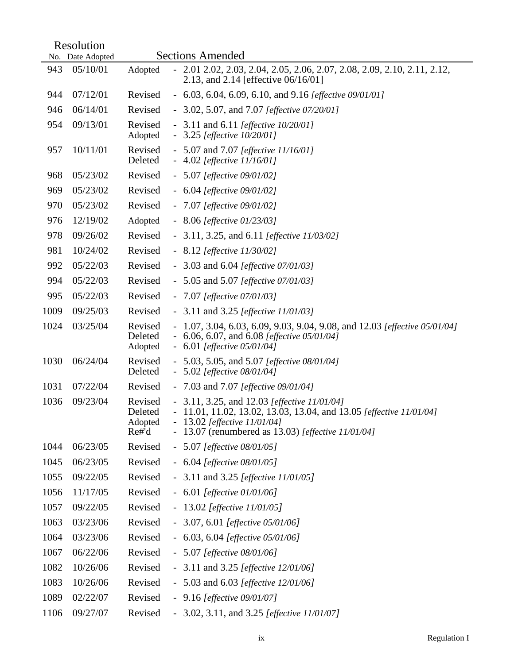|      | Resolution       |                                       |                |                                                                                                                                                                                                              |  |
|------|------------------|---------------------------------------|----------------|--------------------------------------------------------------------------------------------------------------------------------------------------------------------------------------------------------------|--|
|      | No. Date Adopted |                                       |                | <b>Sections Amended</b>                                                                                                                                                                                      |  |
| 943  | 05/10/01         | Adopted                               | $\blacksquare$ | 2.01 2.02, 2.03, 2.04, 2.05, 2.06, 2.07, 2.08, 2.09, 2.10, 2.11, 2.12,<br>2.13, and 2.14 [effective 06/16/01]                                                                                                |  |
| 944  | 07/12/01         | Revised                               |                | - 6.03, 6.04, 6.09, 6.10, and 9.16 [ <i>effective 09/01/01</i> ]                                                                                                                                             |  |
| 946  | 06/14/01         | Revised                               |                | - 3.02, 5.07, and 7.07 [ <i>effective</i> $07/20/01$ ]                                                                                                                                                       |  |
| 954  | 09/13/01         | Revised<br>Adopted                    |                | - 3.11 and 6.11 [ <i>effective 10/20/01</i> ]<br>$-3.25$ [effective 10/20/01]                                                                                                                                |  |
| 957  | 10/11/01         | Revised<br>Deleted                    |                | - 5.07 and 7.07 [ <i>effective 11/16/01</i> ]<br>$-4.02$ [effective 11/16/01]                                                                                                                                |  |
| 968  | 05/23/02         | Revised                               |                | $-5.07$ [effective 09/01/02]                                                                                                                                                                                 |  |
| 969  | 05/23/02         | Revised                               |                | $-6.04$ [effective 09/01/02]                                                                                                                                                                                 |  |
| 970  | 05/23/02         | Revised                               |                | $-7.07$ [effective 09/01/02]                                                                                                                                                                                 |  |
| 976  | 12/19/02         | Adopted                               |                | $-8.06$ [effective 01/23/03]                                                                                                                                                                                 |  |
| 978  | 09/26/02         | Revised                               |                | - 3.11, 3.25, and 6.11 [ <i>effective 11/03/02</i> ]                                                                                                                                                         |  |
| 981  | 10/24/02         | Revised                               |                | $-8.12$ [effective 11/30/02]                                                                                                                                                                                 |  |
| 992  | 05/22/03         | Revised                               |                | - 3.03 and 6.04 [ <i>effective</i> $07/01/03$ ]                                                                                                                                                              |  |
| 994  | 05/22/03         | Revised                               |                | - 5.05 and 5.07 [ <i>effective 07/01/03</i> ]                                                                                                                                                                |  |
| 995  | 05/22/03         | Revised                               |                | $-7.07$ [effective 07/01/03]                                                                                                                                                                                 |  |
| 1009 | 09/25/03         | Revised                               |                | - 3.11 and 3.25 [ <i>effective 11/01/03</i> ]                                                                                                                                                                |  |
| 1024 | 03/25/04         | Revised<br>Deleted<br>Adopted         |                | - 1.07, 3.04, 6.03, 6.09, 9.03, 9.04, 9.08, and 12.03 [effective 05/01/04]<br>6.06, 6.07, and 6.08 [ <i>effective</i> 05/01/04]<br>$-6.01$ [effective 05/01/04]                                              |  |
| 1030 | 06/24/04         | Revised<br>Deleted                    |                | - 5.03, 5.05, and 5.07 [ <i>effective 08/01/04</i> ]<br>$-5.02$ [effective 08/01/04]                                                                                                                         |  |
| 1031 | 07/22/04         | Revised                               |                | - 7.03 and 7.07 [ <i>effective 09/01/04</i> ]                                                                                                                                                                |  |
| 1036 | 09/23/04         | Revised<br>Deleted<br>Adopted<br>Re#d | $\blacksquare$ | - 3.11, 3.25, and 12.03 [ <i>effective 11/01/04</i> ]<br>11.01, 11.02, 13.02, 13.03, 13.04, and 13.05 [effective 11/01/04]<br>13.02 [effective 11/01/04]<br>13.07 (renumbered as 13.03) [effective 11/01/04] |  |
| 1044 | 06/23/05         | Revised                               |                | $-5.07$ [effective 08/01/05]                                                                                                                                                                                 |  |
| 1045 | 06/23/05         | Revised                               |                | $-6.04$ [effective 08/01/05]                                                                                                                                                                                 |  |
| 1055 | 09/22/05         | Revised                               |                | - 3.11 and 3.25 [ <i>effective 11/01/05</i> ]                                                                                                                                                                |  |
| 1056 | 11/17/05         | Revised                               |                | $-6.01$ [effective 01/01/06]                                                                                                                                                                                 |  |
| 1057 | 09/22/05         | Revised                               |                | - 13.02 [ <i>effective 11/01/05</i> ]                                                                                                                                                                        |  |
| 1063 | 03/23/06         | Revised                               |                | $-3.07, 6.01$ [effective 05/01/06]                                                                                                                                                                           |  |
| 1064 | 03/23/06         | Revised                               |                | $-6.03, 6.04$ [effective 05/01/06]                                                                                                                                                                           |  |
| 1067 | 06/22/06         | Revised                               |                | $-5.07$ [effective 08/01/06]                                                                                                                                                                                 |  |
| 1082 | 10/26/06         | Revised                               |                | - 3.11 and 3.25 [ <i>effective 12/01/06</i> ]                                                                                                                                                                |  |
| 1083 | 10/26/06         | Revised                               |                | - 5.03 and 6.03 [ <i>effective 12/01/06</i> ]                                                                                                                                                                |  |
| 1089 | 02/22/07         | Revised                               |                | $-9.16$ [effective 09/01/07]                                                                                                                                                                                 |  |
| 1106 | 09/27/07         | Revised                               |                | - 3.02, 3.11, and 3.25 [ <i>effective 11/01/07</i> ]                                                                                                                                                         |  |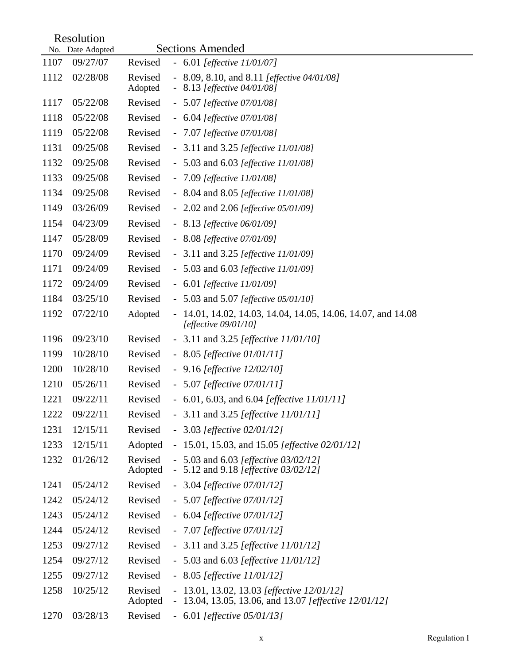|      | Resolution                   |                    |                          | <b>Sections Amended</b>                                                                                 |
|------|------------------------------|--------------------|--------------------------|---------------------------------------------------------------------------------------------------------|
| 1107 | No. Date Adopted<br>09/27/07 | Revised            |                          |                                                                                                         |
|      |                              |                    |                          | $-6.01$ [effective 11/01/07]                                                                            |
| 1112 | 02/28/08                     | Revised<br>Adopted |                          | - 8.09, 8.10, and 8.11 [ <i>effective 04/01/08</i> ]<br>8.13 [effective 04/01/08]                       |
| 1117 | 05/22/08                     | Revised            |                          | $-5.07$ [effective 07/01/08]                                                                            |
| 1118 | 05/22/08                     | Revised            |                          | $-6.04$ [effective 07/01/08]                                                                            |
| 1119 | 05/22/08                     | Revised            |                          | $-7.07$ [effective 07/01/08]                                                                            |
| 1131 | 09/25/08                     | Revised            |                          | - 3.11 and 3.25 [ <i>effective 11/01/08</i> ]                                                           |
| 1132 | 09/25/08                     | Revised            |                          | - 5.03 and 6.03 [ <i>effective 11/01/08</i> ]                                                           |
| 1133 | 09/25/08                     | Revised            |                          | $-7.09$ [effective 11/01/08]                                                                            |
| 1134 | 09/25/08                     | Revised            |                          | - 8.04 and 8.05 [ <i>effective 11/01/08</i> ]                                                           |
| 1149 | 03/26/09                     | Revised            |                          | - $2.02$ and $2.06$ [effective $05/01/09$ ]                                                             |
| 1154 | 04/23/09                     | Revised            |                          | $-8.13$ [effective 06/01/09]                                                                            |
| 1147 | 05/28/09                     | Revised            |                          | $-8.08$ [effective 07/01/09]                                                                            |
| 1170 | 09/24/09                     | Revised            |                          | - 3.11 and 3.25 [ <i>effective 11/01/09</i> ]                                                           |
| 1171 | 09/24/09                     | Revised            |                          | - 5.03 and 6.03 [ <i>effective 11/01/09</i> ]                                                           |
| 1172 | 09/24/09                     | Revised            |                          | $-6.01$ [effective 11/01/09]                                                                            |
| 1184 | 03/25/10                     | Revised            |                          | - 5.03 and 5.07 [ <i>effective 05/01/10]</i>                                                            |
| 1192 | 07/22/10                     | Adopted            | $\blacksquare$           | 14.01, 14.02, 14.03, 14.04, 14.05, 14.06, 14.07, and 14.08<br>[effective $09/01/10$ ]                   |
| 1196 | 09/23/10                     | Revised            |                          | - 3.11 and 3.25 [ <i>effective 11/01/10</i> ]                                                           |
| 1199 | 10/28/10                     | Revised            |                          | $-8.05$ [effective 01/01/11]                                                                            |
| 1200 | 10/28/10                     | Revised            |                          | $-9.16$ [effective $12/02/10$ ]                                                                         |
| 1210 | 05/26/11                     | Revised            |                          | $-5.07$ [effective 07/01/11]                                                                            |
| 1221 | 09/22/11                     | Revised            |                          | - 6.01, 6.03, and 6.04 [effective $11/01/11$ ]                                                          |
| 1222 | 09/22/11                     | Revised            |                          | - 3.11 and 3.25 [ <i>effective <math>11/01/11</math></i> ]                                              |
| 1231 | 12/15/11                     | Revised            |                          | $-3.03$ [effective 02/01/12]                                                                            |
| 1233 | 12/15/11                     | Adopted            |                          | - 15.01, 15.03, and 15.05 [ <i>effective 02/01/12</i> ]                                                 |
| 1232 | 01/26/12                     | Revised<br>Adopted |                          | - 5.03 and 6.03 [ <i>effective 03/02/12</i> ]<br>- 5.12 and 9.18 [ <i>effective 03/02/12</i> ]          |
| 1241 | 05/24/12                     | Revised            |                          | $-3.04$ [effective 07/01/12]                                                                            |
| 1242 | 05/24/12                     | Revised            |                          | $-5.07$ [effective 07/01/12]                                                                            |
| 1243 | 05/24/12                     | Revised            |                          | $-6.04$ [effective 07/01/12]                                                                            |
| 1244 | 05/24/12                     | Revised            |                          | $-7.07$ [effective 07/01/12]                                                                            |
| 1253 | 09/27/12                     | Revised            |                          | - 3.11 and 3.25 [ <i>effective 11/01/12]</i>                                                            |
| 1254 | 09/27/12                     | Revised            |                          | - 5.03 and 6.03 [ <i>effective 11/01/12]</i>                                                            |
| 1255 | 09/27/12                     | Revised            |                          | $-8.05$ [effective 11/01/12]                                                                            |
| 1258 | 10/25/12                     | Revised<br>Adopted | $\overline{\phantom{0}}$ | 13.01, 13.02, 13.03 [effective 12/01/12]<br>13.04, 13.05, 13.06, and 13.07 [ <i>effective 12/01/12]</i> |
| 1270 | 03/28/13                     | Revised            |                          | $-6.01$ [effective 05/01/13]                                                                            |